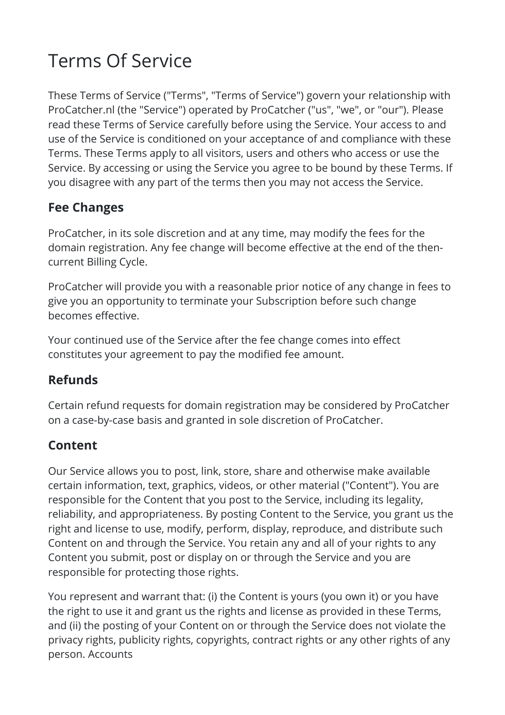# Terms Of Service

These Terms of Service ("Terms", "Terms of Service") govern your relationship with ProCatcher.nl (the "Service") operated by ProCatcher ("us", "we", or "our"). Please read these Terms of Service carefully before using the Service. Your access to and use of the Service is conditioned on your acceptance of and compliance with these Terms. These Terms apply to all visitors, users and others who access or use the Service. By accessing or using the Service you agree to be bound by these Terms. If you disagree with any part of the terms then you may not access the Service.

## **Fee Changes**

ProCatcher, in its sole discretion and at any time, may modify the fees for the domain registration. Any fee change will become effective at the end of the thencurrent Billing Cycle.

ProCatcher will provide you with a reasonable prior notice of any change in fees to give you an opportunity to terminate your Subscription before such change becomes effective.

Your continued use of the Service after the fee change comes into effect constitutes your agreement to pay the modified fee amount.

### **Refunds**

Certain refund requests for domain registration may be considered by ProCatcher on a case-by-case basis and granted in sole discretion of ProCatcher.

## **Content**

Our Service allows you to post, link, store, share and otherwise make available certain information, text, graphics, videos, or other material ("Content"). You are responsible for the Content that you post to the Service, including its legality, reliability, and appropriateness. By posting Content to the Service, you grant us the right and license to use, modify, perform, display, reproduce, and distribute such Content on and through the Service. You retain any and all of your rights to any Content you submit, post or display on or through the Service and you are responsible for protecting those rights.

You represent and warrant that: (i) the Content is yours (you own it) or you have the right to use it and grant us the rights and license as provided in these Terms, and (ii) the posting of your Content on or through the Service does not violate the privacy rights, publicity rights, copyrights, contract rights or any other rights of any person. Accounts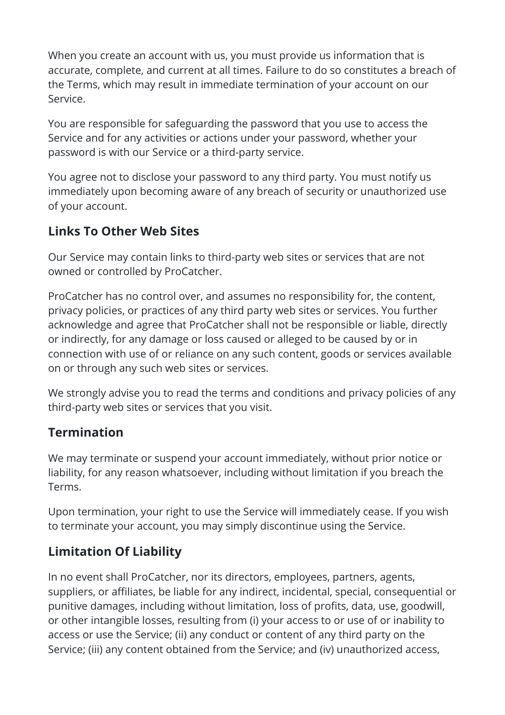When you create an account with us, you must provide us information that is accurate, complete, and current at all times. Failure to do so constitutes a breach of the Terms, which may result in immediate termination of your account on our Service.

You are responsible for safeguarding the password that you use to access the Service and for any activities or actions under your password, whether your password is with our Service or a third-party service.

You agree not to disclose your password to any third party. You must notify us immediately upon becoming aware of any breach of security or unauthorized use of your account.

### **Links To Other Web Sites**

Our Service may contain links to third-party web sites or services that are not owned or controlled by ProCatcher.

ProCatcher has no control over, and assumes no responsibility for, the content, privacy policies, or practices of any third party web sites or services. You further acknowledge and agree that ProCatcher shall not be responsible or liable, directly or indirectly, for any damage or loss caused or alleged to be caused by or in connection with use of or reliance on any such content, goods or services available on or through any such web sites or services.

We strongly advise you to read the terms and conditions and privacy policies of any third-party web sites or services that you visit.

#### **Termination**

We may terminate or suspend your account immediately, without prior notice or liability, for any reason whatsoever, including without limitation if you breach the Terms.

Upon termination, your right to use the Service will immediately cease. If you wish to terminate your account, you may simply discontinue using the Service.

### **Limitation Of Liability**

In no event shall ProCatcher, nor its directors, employees, partners, agents, suppliers, or affiliates, be liable for any indirect, incidental, special, consequential or punitive damages, including without limitation, loss of profits, data, use, goodwill, or other intangible losses, resulting from (i) your access to or use of or inability to access or use the Service; (ii) any conduct or content of any third party on the Service; (iii) any content obtained from the Service; and (iv) unauthorized access,